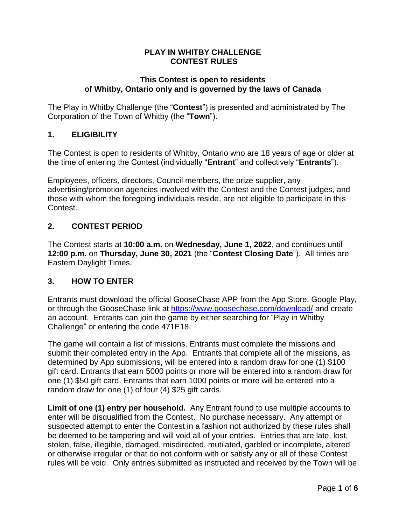#### **PLAY IN WHITBY CHALLENGE CONTEST RULES**

#### **This Contest is open to residents of Whitby, Ontario only and is governed by the laws of Canada**

The Play in Whitby Challenge (the "**Contest**") is presented and administrated by The Corporation of the Town of Whitby (the "**Town**").

#### **1. ELIGIBILITY**

The Contest is open to residents of Whitby, Ontario who are 18 years of age or older at the time of entering the Contest (individually "**Entrant**" and collectively "**Entrants**").

Employees, officers, directors, Council members, the prize supplier, any advertising/promotion agencies involved with the Contest and the Contest judges, and those with whom the foregoing individuals reside, are not eligible to participate in this Contest.

#### **2. CONTEST PERIOD**

The Contest starts at **10:00 a.m.** on **Wednesday, June 1, 2022**, and continues until **12:00 p.m.** on **Thursday, June 30, 2021** (the "**Contest Closing Date**"). All times are Eastern Daylight Times.

#### **3. HOW TO ENTER**

Entrants must download the official GooseChase APP from the App Store, Google Play, or through the GooseChase link at <https://www.goosechase.com/download/> and create an account. Entrants can join the game by either searching for "Play in Whitby Challenge" or entering the code 471E18.

The game will contain a list of missions. Entrants must complete the missions and submit their completed entry in the App. Entrants that complete all of the missions, as determined by App submissions, will be entered into a random draw for one (1) \$100 gift card. Entrants that earn 5000 points or more will be entered into a random draw for one (1) \$50 gift card. Entrants that earn 1000 points or more will be entered into a random draw for one (1) of four (4) \$25 gift cards.

**Limit of one (1) entry per household.** Any Entrant found to use multiple accounts to enter will be disqualified from the Contest. No purchase necessary. Any attempt or suspected attempt to enter the Contest in a fashion not authorized by these rules shall be deemed to be tampering and will void all of your entries. Entries that are late, lost, stolen, false, illegible, damaged, misdirected, mutilated, garbled or incomplete, altered or otherwise irregular or that do not conform with or satisfy any or all of these Contest rules will be void. Only entries submitted as instructed and received by the Town will be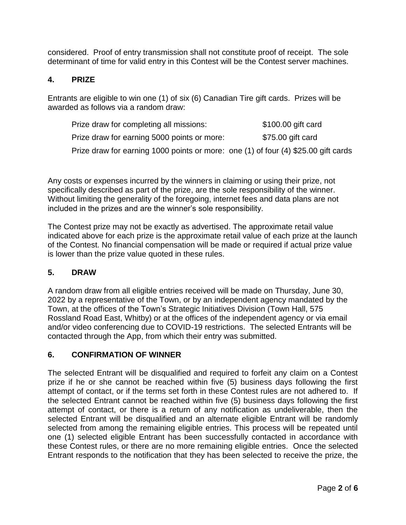considered. Proof of entry transmission shall not constitute proof of receipt. The sole determinant of time for valid entry in this Contest will be the Contest server machines.

### **4. PRIZE**

Entrants are eligible to win one (1) of six (6) Canadian Tire gift cards. Prizes will be awarded as follows via a random draw:

| Prize draw for completing all missions:                                            | \$100.00 gift card |
|------------------------------------------------------------------------------------|--------------------|
| Prize draw for earning 5000 points or more:                                        | \$75.00 gift card  |
| Prize draw for earning 1000 points or more: one (1) of four (4) \$25.00 gift cards |                    |

Any costs or expenses incurred by the winners in claiming or using their prize, not specifically described as part of the prize, are the sole responsibility of the winner. Without limiting the generality of the foregoing, internet fees and data plans are not included in the prizes and are the winner's sole responsibility.

The Contest prize may not be exactly as advertised. The approximate retail value indicated above for each prize is the approximate retail value of each prize at the launch of the Contest. No financial compensation will be made or required if actual prize value is lower than the prize value quoted in these rules.

#### **5. DRAW**

A random draw from all eligible entries received will be made on Thursday, June 30, 2022 by a representative of the Town, or by an independent agency mandated by the Town, at the offices of the Town's Strategic Initiatives Division (Town Hall, 575 Rossland Road East, Whitby) or at the offices of the independent agency or via email and/or video conferencing due to COVID-19 restrictions. The selected Entrants will be contacted through the App, from which their entry was submitted.

# **6. CONFIRMATION OF WINNER**

The selected Entrant will be disqualified and required to forfeit any claim on a Contest prize if he or she cannot be reached within five (5) business days following the first attempt of contact, or if the terms set forth in these Contest rules are not adhered to. If the selected Entrant cannot be reached within five (5) business days following the first attempt of contact, or there is a return of any notification as undeliverable, then the selected Entrant will be disqualified and an alternate eligible Entrant will be randomly selected from among the remaining eligible entries. This process will be repeated until one (1) selected eligible Entrant has been successfully contacted in accordance with these Contest rules, or there are no more remaining eligible entries. Once the selected Entrant responds to the notification that they has been selected to receive the prize, the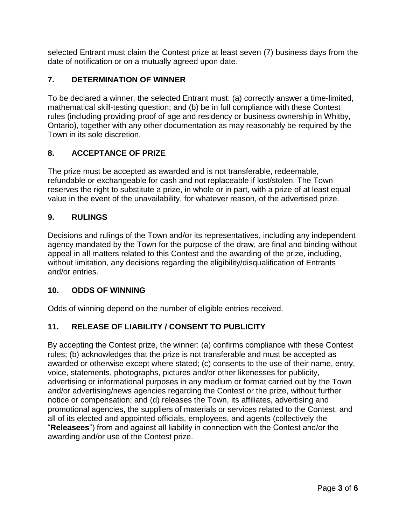selected Entrant must claim the Contest prize at least seven (7) business days from the date of notification or on a mutually agreed upon date.

### **7. DETERMINATION OF WINNER**

To be declared a winner, the selected Entrant must: (a) correctly answer a time-limited, mathematical skill-testing question; and (b) be in full compliance with these Contest rules (including providing proof of age and residency or business ownership in Whitby, Ontario), together with any other documentation as may reasonably be required by the Town in its sole discretion.

# **8. ACCEPTANCE OF PRIZE**

The prize must be accepted as awarded and is not transferable, redeemable, refundable or exchangeable for cash and not replaceable if lost/stolen. The Town reserves the right to substitute a prize, in whole or in part, with a prize of at least equal value in the event of the unavailability, for whatever reason, of the advertised prize.

#### **9. RULINGS**

Decisions and rulings of the Town and/or its representatives, including any independent agency mandated by the Town for the purpose of the draw, are final and binding without appeal in all matters related to this Contest and the awarding of the prize, including, without limitation, any decisions regarding the eligibility/disqualification of Entrants and/or entries.

#### **10. ODDS OF WINNING**

Odds of winning depend on the number of eligible entries received.

#### **11. RELEASE OF LIABILITY / CONSENT TO PUBLICITY**

By accepting the Contest prize, the winner: (a) confirms compliance with these Contest rules; (b) acknowledges that the prize is not transferable and must be accepted as awarded or otherwise except where stated; (c) consents to the use of their name, entry, voice, statements, photographs, pictures and/or other likenesses for publicity, advertising or informational purposes in any medium or format carried out by the Town and/or advertising/news agencies regarding the Contest or the prize, without further notice or compensation; and (d) releases the Town, its affiliates, advertising and promotional agencies, the suppliers of materials or services related to the Contest, and all of its elected and appointed officials, employees, and agents (collectively the "**Releasees**") from and against all liability in connection with the Contest and/or the awarding and/or use of the Contest prize.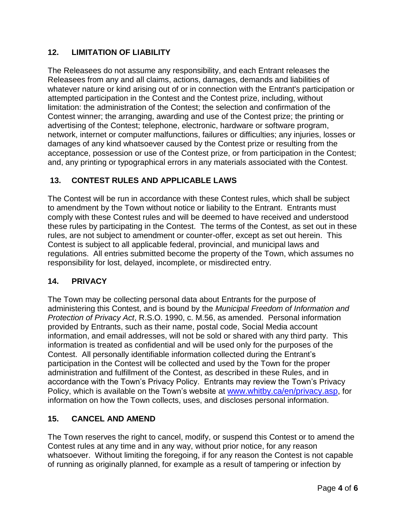### **12. LIMITATION OF LIABILITY**

The Releasees do not assume any responsibility, and each Entrant releases the Releasees from any and all claims, actions, damages, demands and liabilities of whatever nature or kind arising out of or in connection with the Entrant's participation or attempted participation in the Contest and the Contest prize, including, without limitation: the administration of the Contest; the selection and confirmation of the Contest winner; the arranging, awarding and use of the Contest prize; the printing or advertising of the Contest; telephone, electronic, hardware or software program, network, internet or computer malfunctions, failures or difficulties; any injuries, losses or damages of any kind whatsoever caused by the Contest prize or resulting from the acceptance, possession or use of the Contest prize, or from participation in the Contest; and, any printing or typographical errors in any materials associated with the Contest.

## **13. CONTEST RULES AND APPLICABLE LAWS**

The Contest will be run in accordance with these Contest rules, which shall be subject to amendment by the Town without notice or liability to the Entrant. Entrants must comply with these Contest rules and will be deemed to have received and understood these rules by participating in the Contest. The terms of the Contest, as set out in these rules, are not subject to amendment or counter-offer, except as set out herein. This Contest is subject to all applicable federal, provincial, and municipal laws and regulations. All entries submitted become the property of the Town, which assumes no responsibility for lost, delayed, incomplete, or misdirected entry.

#### **14. PRIVACY**

The Town may be collecting personal data about Entrants for the purpose of administering this Contest, and is bound by the *Municipal Freedom of Information and Protection of Privacy Act*, R.S.O. 1990, c. M.56, as amended. Personal information provided by Entrants, such as their name, postal code, Social Media account information, and email addresses, will not be sold or shared with any third party. This information is treated as confidential and will be used only for the purposes of the Contest. All personally identifiable information collected during the Entrant's participation in the Contest will be collected and used by the Town for the proper administration and fulfillment of the Contest, as described in these Rules, and in accordance with the Town's Privacy Policy. Entrants may review the Town's Privacy Policy, which is available on the Town's website at [www.whitby.ca/en/privacy.asp,](http://www.whitby.ca/en/privacy.asp) for information on how the Town collects, uses, and discloses personal information.

#### **15. CANCEL AND AMEND**

The Town reserves the right to cancel, modify, or suspend this Contest or to amend the Contest rules at any time and in any way, without prior notice, for any reason whatsoever. Without limiting the foregoing, if for any reason the Contest is not capable of running as originally planned, for example as a result of tampering or infection by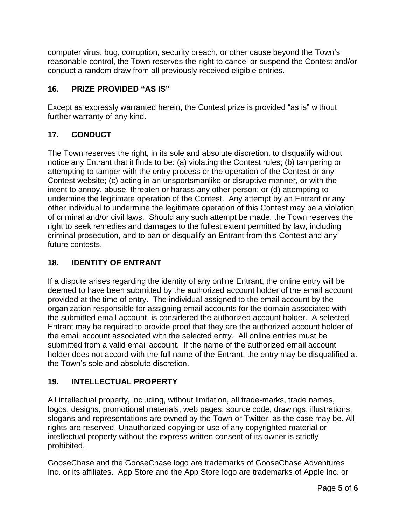computer virus, bug, corruption, security breach, or other cause beyond the Town's reasonable control, the Town reserves the right to cancel or suspend the Contest and/or conduct a random draw from all previously received eligible entries.

# **16. PRIZE PROVIDED "AS IS"**

Except as expressly warranted herein, the Contest prize is provided "as is" without further warranty of any kind.

# **17. CONDUCT**

The Town reserves the right, in its sole and absolute discretion, to disqualify without notice any Entrant that it finds to be: (a) violating the Contest rules; (b) tampering or attempting to tamper with the entry process or the operation of the Contest or any Contest website; (c) acting in an unsportsmanlike or disruptive manner, or with the intent to annoy, abuse, threaten or harass any other person; or (d) attempting to undermine the legitimate operation of the Contest. Any attempt by an Entrant or any other individual to undermine the legitimate operation of this Contest may be a violation of criminal and/or civil laws. Should any such attempt be made, the Town reserves the right to seek remedies and damages to the fullest extent permitted by law, including criminal prosecution, and to ban or disqualify an Entrant from this Contest and any future contests.

# **18. IDENTITY OF ENTRANT**

If a dispute arises regarding the identity of any online Entrant, the online entry will be deemed to have been submitted by the authorized account holder of the email account provided at the time of entry. The individual assigned to the email account by the organization responsible for assigning email accounts for the domain associated with the submitted email account, is considered the authorized account holder. A selected Entrant may be required to provide proof that they are the authorized account holder of the email account associated with the selected entry. All online entries must be submitted from a valid email account. If the name of the authorized email account holder does not accord with the full name of the Entrant, the entry may be disqualified at the Town's sole and absolute discretion.

# **19. INTELLECTUAL PROPERTY**

All intellectual property, including, without limitation, all trade-marks, trade names, logos, designs, promotional materials, web pages, source code, drawings, illustrations, slogans and representations are owned by the Town or Twitter, as the case may be. All rights are reserved. Unauthorized copying or use of any copyrighted material or intellectual property without the express written consent of its owner is strictly prohibited.

GooseChase and the GooseChase logo are trademarks of GooseChase Adventures Inc. or its affiliates. App Store and the App Store logo are trademarks of Apple Inc. or